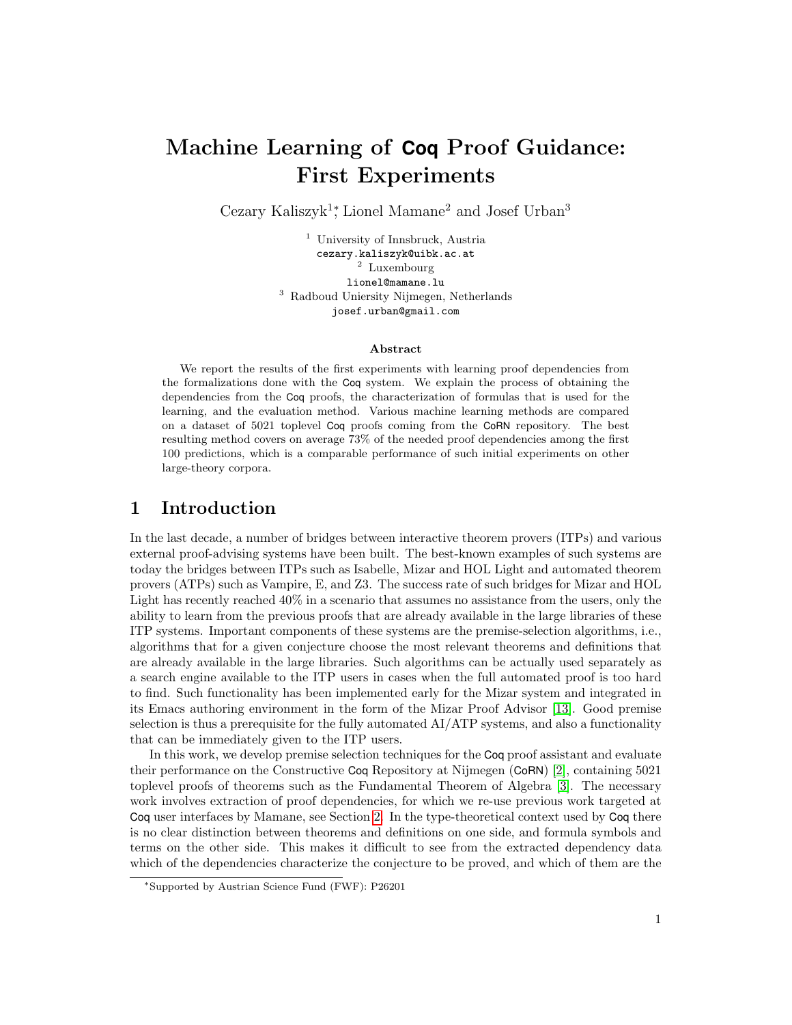# Machine Learning of **Coq** Proof Guidance: First Experiments

Cezary Kaliszyk<sup>1</sup><sup>\*</sup>, Lionel Mamane<sup>2</sup> and Josef Urban<sup>3</sup>

<sup>1</sup> University of Innsbruck, Austria cezary.kaliszyk@uibk.ac.at <sup>2</sup> Luxembourg lionel@mamane.lu <sup>3</sup> Radboud Uniersity Nijmegen, Netherlands josef.urban@gmail.com

#### Abstract

We report the results of the first experiments with learning proof dependencies from the formalizations done with the Coq system. We explain the process of obtaining the dependencies from the Coq proofs, the characterization of formulas that is used for the learning, and the evaluation method. Various machine learning methods are compared on a dataset of 5021 toplevel Coq proofs coming from the CoRN repository. The best resulting method covers on average 73% of the needed proof dependencies among the first 100 predictions, which is a comparable performance of such initial experiments on other large-theory corpora.

#### 1 Introduction

In the last decade, a number of bridges between interactive theorem provers (ITPs) and various external proof-advising systems have been built. The best-known examples of such systems are today the bridges between ITPs such as Isabelle, Mizar and HOL Light and automated theorem provers (ATPs) such as Vampire, E, and Z3. The success rate of such bridges for Mizar and HOL Light has recently reached 40% in a scenario that assumes no assistance from the users, only the ability to learn from the previous proofs that are already available in the large libraries of these ITP systems. Important components of these systems are the premise-selection algorithms, i.e., algorithms that for a given conjecture choose the most relevant theorems and definitions that are already available in the large libraries. Such algorithms can be actually used separately as a search engine available to the ITP users in cases when the full automated proof is too hard to find. Such functionality has been implemented early for the Mizar system and integrated in its Emacs authoring environment in the form of the Mizar Proof Advisor [\[13\]](#page-7-0). Good premise selection is thus a prerequisite for the fully automated  $AI/ATP$  systems, and also a functionality that can be immediately given to the ITP users.

In this work, we develop premise selection techniques for the Coq proof assistant and evaluate their performance on the Constructive Coq Repository at Nijmegen (CoRN) [\[2\]](#page-6-0), containing 5021 toplevel proofs of theorems such as the Fundamental Theorem of Algebra [\[3\]](#page-6-1). The necessary work involves extraction of proof dependencies, for which we re-use previous work targeted at Coq user interfaces by Mamane, see Section [2.](#page-1-0) In the type-theoretical context used by Coq there is no clear distinction between theorems and definitions on one side, and formula symbols and terms on the other side. This makes it difficult to see from the extracted dependency data which of the dependencies characterize the conjecture to be proved, and which of them are the

<sup>∗</sup>Supported by Austrian Science Fund (FWF): P26201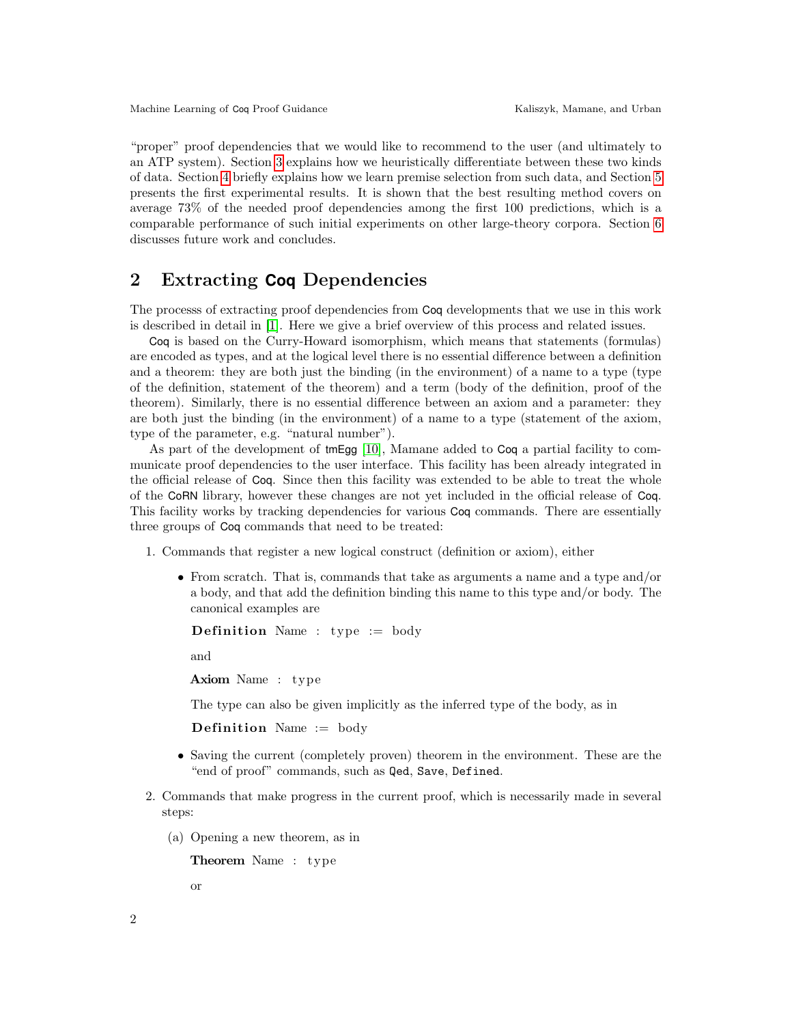"proper" proof dependencies that we would like to recommend to the user (and ultimately to an ATP system). Section [3](#page-3-0) explains how we heuristically differentiate between these two kinds of data. Section [4](#page-4-0) briefly explains how we learn premise selection from such data, and Section [5](#page-5-0) presents the first experimental results. It is shown that the best resulting method covers on average 73% of the needed proof dependencies among the first 100 predictions, which is a comparable performance of such initial experiments on other large-theory corpora. Section [6](#page-5-1) discusses future work and concludes.

# <span id="page-1-0"></span>2 Extracting **Coq** Dependencies

The processs of extracting proof dependencies from Coq developments that we use in this work is described in detail in [\[1\]](#page-6-2). Here we give a brief overview of this process and related issues.

Coq is based on the Curry-Howard isomorphism, which means that statements (formulas) are encoded as types, and at the logical level there is no essential difference between a definition and a theorem: they are both just the binding (in the environment) of a name to a type (type of the definition, statement of the theorem) and a term (body of the definition, proof of the theorem). Similarly, there is no essential difference between an axiom and a parameter: they are both just the binding (in the environment) of a name to a type (statement of the axiom, type of the parameter, e.g. "natural number").

As part of the development of tmEgg [\[10\]](#page-7-1), Mamane added to Coq a partial facility to communicate proof dependencies to the user interface. This facility has been already integrated in the official release of Coq. Since then this facility was extended to be able to treat the whole of the CoRN library, however these changes are not yet included in the official release of Coq. This facility works by tracking dependencies for various Coq commands. There are essentially three groups of Coq commands that need to be treated:

- 1. Commands that register a new logical construct (definition or axiom), either
	- From scratch. That is, commands that take as arguments a name and a type and/or a body, and that add the definition binding this name to this type and/or body. The canonical examples are

**Definition** Name : type  $:=$  body

and

Axiom Name : type

The type can also be given implicitly as the inferred type of the body, as in

**Definition** Name  $:=$  body

- Saving the current (completely proven) theorem in the environment. These are the "end of proof" commands, such as Qed, Save, Defined.
- 2. Commands that make progress in the current proof, which is necessarily made in several steps:
	- (a) Opening a new theorem, as in

Theorem Name : type

or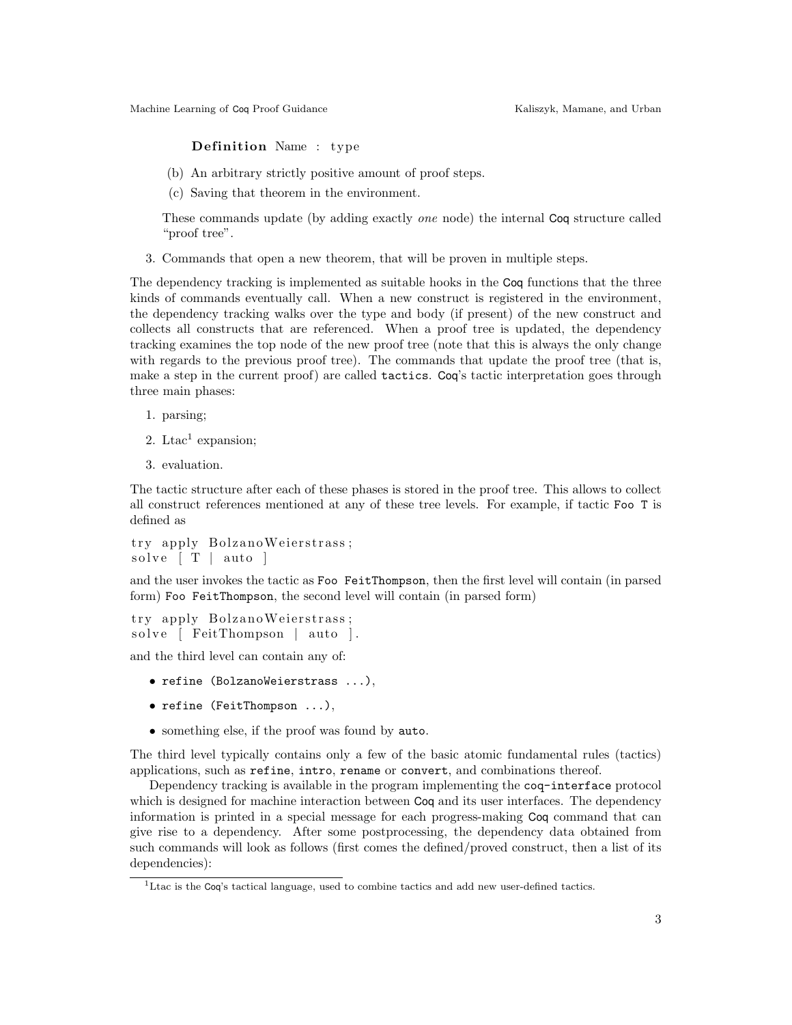#### **Definition** Name : type

- (b) An arbitrary strictly positive amount of proof steps.
- (c) Saving that theorem in the environment.

These commands update (by adding exactly one node) the internal Coq structure called "proof tree".

3. Commands that open a new theorem, that will be proven in multiple steps.

The dependency tracking is implemented as suitable hooks in the Coq functions that the three kinds of commands eventually call. When a new construct is registered in the environment, the dependency tracking walks over the type and body (if present) of the new construct and collects all constructs that are referenced. When a proof tree is updated, the dependency tracking examines the top node of the new proof tree (note that this is always the only change with regards to the previous proof tree). The commands that update the proof tree (that is, make a step in the current proof) are called tactics. Coq's tactic interpretation goes through three main phases:

- 1. parsing;
- 2. Ltac<sup>1</sup> expansion;
- 3. evaluation.

The tactic structure after each of these phases is stored in the proof tree. This allows to collect all construct references mentioned at any of these tree levels. For example, if tactic Foo T is defined as

```
try apply BolzanoWeierstrass;
solve \lceil T \rceil auto \lceil
```
and the user invokes the tactic as Foo FeitThompson, then the first level will contain (in parsed form) Foo FeitThompson, the second level will contain (in parsed form)

try apply BolzanoWeierstrass; solve [ FeitThompson | auto ].

and the third level can contain any of:

- refine (BolzanoWeierstrass ...),
- refine (FeitThompson ...),
- something else, if the proof was found by auto.

The third level typically contains only a few of the basic atomic fundamental rules (tactics) applications, such as refine, intro, rename or convert, and combinations thereof.

Dependency tracking is available in the program implementing the coq-interface protocol which is designed for machine interaction between  $\text{Coq}$  and its user interfaces. The dependency information is printed in a special message for each progress-making Coq command that can give rise to a dependency. After some postprocessing, the dependency data obtained from such commands will look as follows (first comes the defined/proved construct, then a list of its dependencies):

 $<sup>1</sup>$ Ltac is the Coq's tactical language, used to combine tactics and add new user-defined tactics.</sup>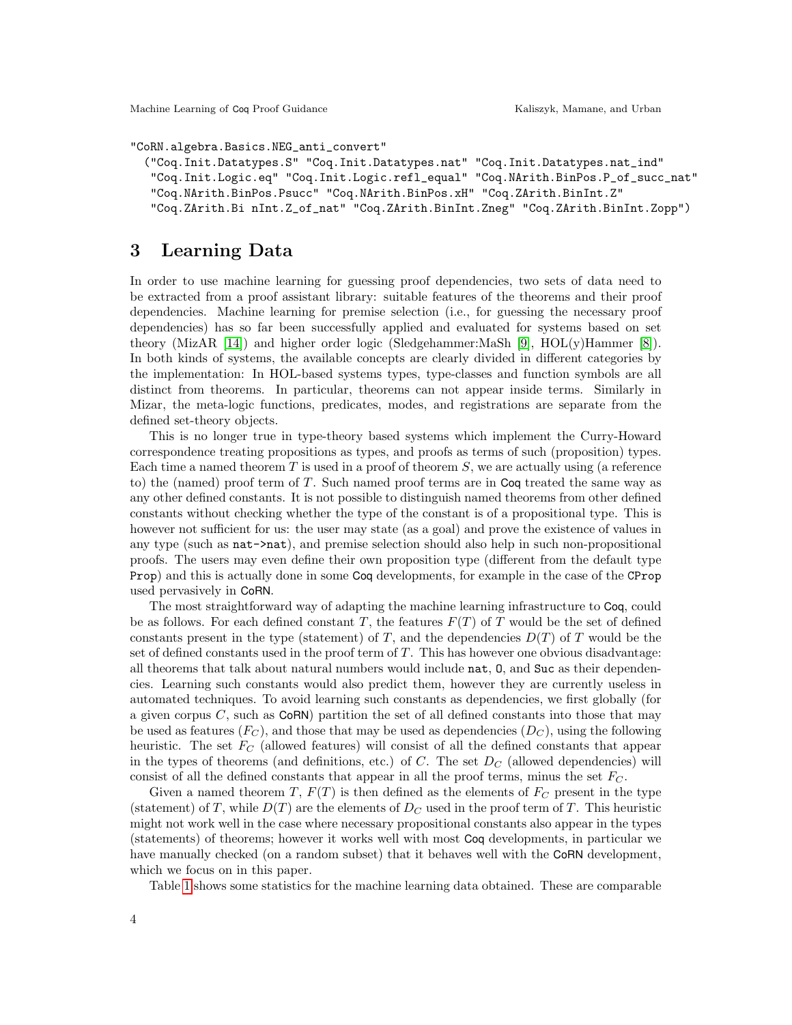Machine Learning of Coq Proof Guidance The Communication of Coq Proof Guidance Kaliszyk, Mamane, and Urban

"CoRN.algebra.Basics.NEG\_anti\_convert"

```
("Coq.Init.Datatypes.S" "Coq.Init.Datatypes.nat" "Coq.Init.Datatypes.nat_ind"
"Coq.Init.Logic.eq" "Coq.Init.Logic.refl_equal" "Coq.NArith.BinPos.P_of_succ_nat"
"Coq.NArith.BinPos.Psucc" "Coq.NArith.BinPos.xH" "Coq.ZArith.BinInt.Z"
 "Coq.ZArith.Bi nInt.Z_of_nat" "Coq.ZArith.BinInt.Zneg" "Coq.ZArith.BinInt.Zopp")
```
#### <span id="page-3-0"></span>3 Learning Data

In order to use machine learning for guessing proof dependencies, two sets of data need to be extracted from a proof assistant library: suitable features of the theorems and their proof dependencies. Machine learning for premise selection (i.e., for guessing the necessary proof dependencies) has so far been successfully applied and evaluated for systems based on set theory (MizAR [\[14\]](#page-7-2)) and higher order logic (Sledgehammer:MaSh [\[9\]](#page-7-3), HOL(y)Hammer [\[8\]](#page-6-3)). In both kinds of systems, the available concepts are clearly divided in different categories by the implementation: In HOL-based systems types, type-classes and function symbols are all distinct from theorems. In particular, theorems can not appear inside terms. Similarly in Mizar, the meta-logic functions, predicates, modes, and registrations are separate from the defined set-theory objects.

This is no longer true in type-theory based systems which implement the Curry-Howard correspondence treating propositions as types, and proofs as terms of such (proposition) types. Each time a named theorem  $T$  is used in a proof of theorem  $S$ , we are actually using (a reference to) the (named) proof term of T. Such named proof terms are in Coq treated the same way as any other defined constants. It is not possible to distinguish named theorems from other defined constants without checking whether the type of the constant is of a propositional type. This is however not sufficient for us: the user may state (as a goal) and prove the existence of values in any type (such as nat->nat), and premise selection should also help in such non-propositional proofs. The users may even define their own proposition type (different from the default type Prop) and this is actually done in some Coq developments, for example in the case of the CProp used pervasively in CoRN.

The most straightforward way of adapting the machine learning infrastructure to Coq, could be as follows. For each defined constant T, the features  $F(T)$  of T would be the set of defined constants present in the type (statement) of T, and the dependencies  $D(T)$  of T would be the set of defined constants used in the proof term of  $T$ . This has however one obvious disadvantage: all theorems that talk about natural numbers would include nat, O, and Suc as their dependencies. Learning such constants would also predict them, however they are currently useless in automated techniques. To avoid learning such constants as dependencies, we first globally (for a given corpus  $C$ , such as  $CoRN$ ) partition the set of all defined constants into those that may be used as features  $(F_C)$ , and those that may be used as dependencies  $(D_C)$ , using the following heuristic. The set  $F_C$  (allowed features) will consist of all the defined constants that appear in the types of theorems (and definitions, etc.) of C. The set  $D<sub>C</sub>$  (allowed dependencies) will consist of all the defined constants that appear in all the proof terms, minus the set  $F_C$ .

Given a named theorem T,  $F(T)$  is then defined as the elements of  $F_C$  present in the type (statement) of T, while  $D(T)$  are the elements of  $D<sub>C</sub>$  used in the proof term of T. This heuristic might not work well in the case where necessary propositional constants also appear in the types (statements) of theorems; however it works well with most Coq developments, in particular we have manually checked (on a random subset) that it behaves well with the CoRN development, which we focus on in this paper.

Table [1](#page-4-1) shows some statistics for the machine learning data obtained. These are comparable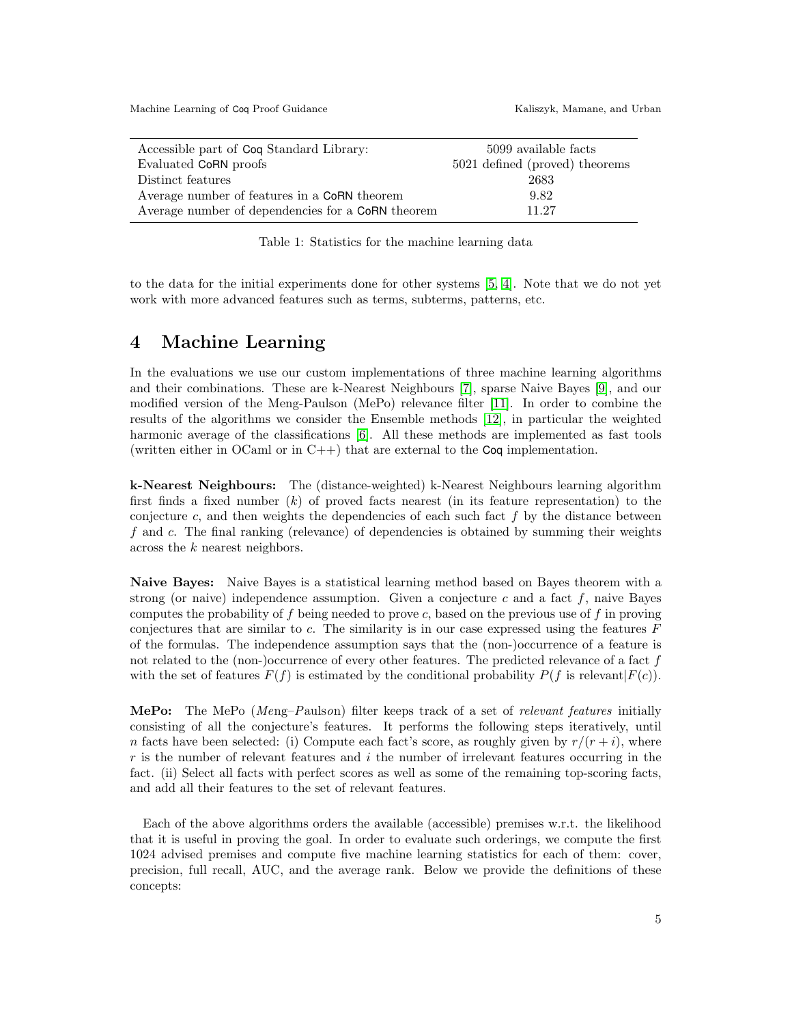Machine Learning of Coq Proof Guidance The Communication of Coq Proof Guidance Kaliszyk, Mamane, and Urban

| Accessible part of Coq Standard Library:          | 5099 available facts           |  |  |
|---------------------------------------------------|--------------------------------|--|--|
| Evaluated CoRN proofs                             | 5021 defined (proved) theorems |  |  |
| Distinct features                                 | 2683                           |  |  |
| Average number of features in a CoRN theorem      | 9.82                           |  |  |
| Average number of dependencies for a CoRN theorem | 11.27                          |  |  |

<span id="page-4-1"></span>Table 1: Statistics for the machine learning data

to the data for the initial experiments done for other systems [\[5,](#page-6-4) [4\]](#page-6-5). Note that we do not yet work with more advanced features such as terms, subterms, patterns, etc.

## <span id="page-4-0"></span>4 Machine Learning

In the evaluations we use our custom implementations of three machine learning algorithms and their combinations. These are k-Nearest Neighbours [\[7\]](#page-6-6), sparse Naive Bayes [\[9\]](#page-7-3), and our modified version of the Meng-Paulson (MePo) relevance filter [\[11\]](#page-7-4). In order to combine the results of the algorithms we consider the Ensemble methods [\[12\]](#page-7-5), in particular the weighted harmonic average of the classifications [\[6\]](#page-6-7). All these methods are implemented as fast tools (written either in OCaml or in  $C_{++}$ ) that are external to the Coq implementation.

k-Nearest Neighbours: The (distance-weighted) k-Nearest Neighbours learning algorithm first finds a fixed number  $(k)$  of proved facts nearest (in its feature representation) to the conjecture c, and then weights the dependencies of each such fact  $f$  by the distance between f and c. The final ranking (relevance) of dependencies is obtained by summing their weights across the k nearest neighbors.

Naive Bayes: Naive Bayes is a statistical learning method based on Bayes theorem with a strong (or naive) independence assumption. Given a conjecture c and a fact  $f$ , naive Bayes computes the probability of f being needed to prove c, based on the previous use of f in proving conjectures that are similar to  $c$ . The similarity is in our case expressed using the features  $F$ of the formulas. The independence assumption says that the (non-)occurrence of a feature is not related to the (non-)occurrence of every other features. The predicted relevance of a fact  $f$ with the set of features  $F(f)$  is estimated by the conditional probability  $P(f$  is relevant  $|F(c)|$ .

MePo: The MePo (Meng–Paulson) filter keeps track of a set of relevant features initially consisting of all the conjecture's features. It performs the following steps iteratively, until n facts have been selected: (i) Compute each fact's score, as roughly given by  $r/(r+i)$ , where  $r$  is the number of relevant features and  $i$  the number of irrelevant features occurring in the fact. (ii) Select all facts with perfect scores as well as some of the remaining top-scoring facts, and add all their features to the set of relevant features.

Each of the above algorithms orders the available (accessible) premises w.r.t. the likelihood that it is useful in proving the goal. In order to evaluate such orderings, we compute the first 1024 advised premises and compute five machine learning statistics for each of them: cover, precision, full recall, AUC, and the average rank. Below we provide the definitions of these concepts: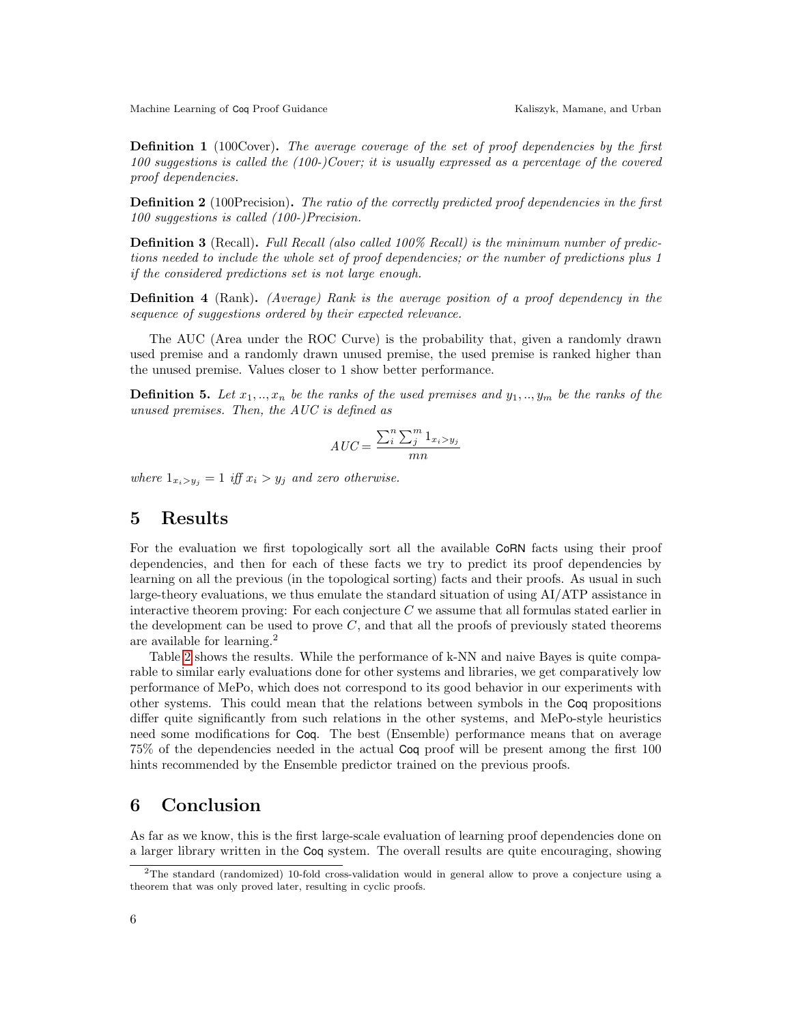**Definition 1** (100Cover). The average coverage of the set of proof dependencies by the first 100 suggestions is called the (100-)Cover; it is usually expressed as a percentage of the covered proof dependencies.

**Definition 2** (100Precision). The ratio of the correctly predicted proof dependencies in the first 100 suggestions is called (100-)Precision.

Definition 3 (Recall). Full Recall (also called 100% Recall) is the minimum number of predictions needed to include the whole set of proof dependencies; or the number of predictions plus 1 if the considered predictions set is not large enough.

Definition 4 (Rank). (Average) Rank is the average position of a proof dependency in the sequence of suggestions ordered by their expected relevance.

The AUC (Area under the ROC Curve) is the probability that, given a randomly drawn used premise and a randomly drawn unused premise, the used premise is ranked higher than the unused premise. Values closer to 1 show better performance.

**Definition 5.** Let  $x_1, ..., x_n$  be the ranks of the used premises and  $y_1, ..., y_m$  be the ranks of the unused premises. Then, the AUC is defined as

$$
AUC = \frac{\sum_{i}^{n} \sum_{j}^{m} 1_{x_i > y_j}}{mn}
$$

where  $1_{x_i>y_j} = 1$  iff  $x_i > y_j$  and zero otherwise.

#### <span id="page-5-0"></span>5 Results

For the evaluation we first topologically sort all the available CoRN facts using their proof dependencies, and then for each of these facts we try to predict its proof dependencies by learning on all the previous (in the topological sorting) facts and their proofs. As usual in such large-theory evaluations, we thus emulate the standard situation of using AI/ATP assistance in interactive theorem proving: For each conjecture  $C$  we assume that all formulas stated earlier in the development can be used to prove  $C$ , and that all the proofs of previously stated theorems are available for learning.<sup>2</sup>

Table [2](#page-6-8) shows the results. While the performance of k-NN and naive Bayes is quite comparable to similar early evaluations done for other systems and libraries, we get comparatively low performance of MePo, which does not correspond to its good behavior in our experiments with other systems. This could mean that the relations between symbols in the Coq propositions differ quite significantly from such relations in the other systems, and MePo-style heuristics need some modifications for Coq. The best (Ensemble) performance means that on average 75% of the dependencies needed in the actual Coq proof will be present among the first 100 hints recommended by the Ensemble predictor trained on the previous proofs.

## <span id="page-5-1"></span>6 Conclusion

As far as we know, this is the first large-scale evaluation of learning proof dependencies done on a larger library written in the Coq system. The overall results are quite encouraging, showing

<sup>2</sup>The standard (randomized) 10-fold cross-validation would in general allow to prove a conjecture using a theorem that was only proved later, resulting in cyclic proofs.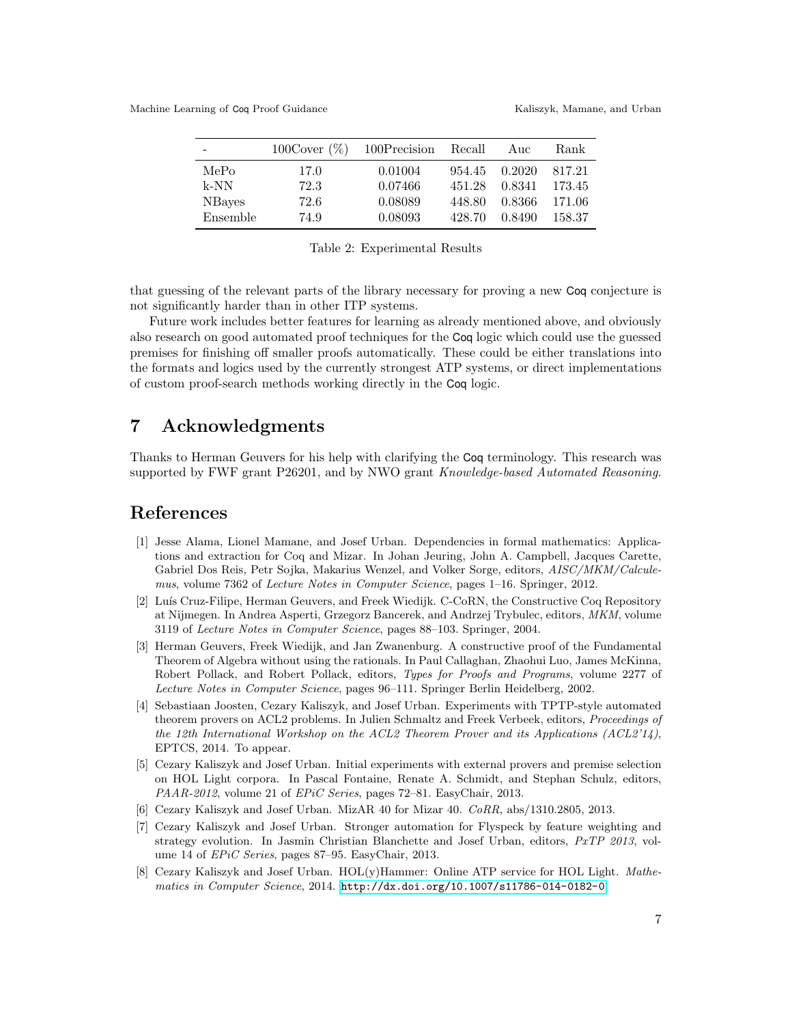|                | $100 \text{Cover } (\%)$ | 100Precision | Recall | Auc    | Rank   |
|----------------|--------------------------|--------------|--------|--------|--------|
| MePo           | 17.0                     | 0.01004      | 954.45 | 0.2020 | 817.21 |
| $k-NN$         | 72.3                     | 0.07466      | 451.28 | 0.8341 | 173.45 |
| <b>NB</b> ayes | 72.6                     | 0.08089      | 448.80 | 0.8366 | 171.06 |
| Ensemble       | 74.9                     | 0.08093      | 428.70 | 0.8490 | 158.37 |

<span id="page-6-8"></span>Table 2: Experimental Results

that guessing of the relevant parts of the library necessary for proving a new Coq conjecture is not significantly harder than in other ITP systems.

Future work includes better features for learning as already mentioned above, and obviously also research on good automated proof techniques for the Coq logic which could use the guessed premises for finishing off smaller proofs automatically. These could be either translations into the formats and logics used by the currently strongest ATP systems, or direct implementations of custom proof-search methods working directly in the Coq logic.

## 7 Acknowledgments

Thanks to Herman Geuvers for his help with clarifying the Coq terminology. This research was supported by FWF grant P26201, and by NWO grant Knowledge-based Automated Reasoning.

#### References

- <span id="page-6-2"></span>[1] Jesse Alama, Lionel Mamane, and Josef Urban. Dependencies in formal mathematics: Applications and extraction for Coq and Mizar. In Johan Jeuring, John A. Campbell, Jacques Carette, Gabriel Dos Reis, Petr Sojka, Makarius Wenzel, and Volker Sorge, editors, AISC/MKM/Calculemus, volume 7362 of Lecture Notes in Computer Science, pages 1–16. Springer, 2012.
- <span id="page-6-0"></span>[2] Luís Cruz-Filipe, Herman Geuvers, and Freek Wiedijk. C-CoRN, the Constructive Coq Repository at Nijmegen. In Andrea Asperti, Grzegorz Bancerek, and Andrzej Trybulec, editors, MKM, volume 3119 of Lecture Notes in Computer Science, pages 88–103. Springer, 2004.
- <span id="page-6-1"></span>[3] Herman Geuvers, Freek Wiedijk, and Jan Zwanenburg. A constructive proof of the Fundamental Theorem of Algebra without using the rationals. In Paul Callaghan, Zhaohui Luo, James McKinna, Robert Pollack, and Robert Pollack, editors, Types for Proofs and Programs, volume 2277 of Lecture Notes in Computer Science, pages 96–111. Springer Berlin Heidelberg, 2002.
- <span id="page-6-5"></span>[4] Sebastiaan Joosten, Cezary Kaliszyk, and Josef Urban. Experiments with TPTP-style automated theorem provers on ACL2 problems. In Julien Schmaltz and Freek Verbeek, editors, Proceedings of the 12th International Workshop on the ACL2 Theorem Prover and its Applications (ACL2'14), EPTCS, 2014. To appear.
- <span id="page-6-4"></span>[5] Cezary Kaliszyk and Josef Urban. Initial experiments with external provers and premise selection on HOL Light corpora. In Pascal Fontaine, Renate A. Schmidt, and Stephan Schulz, editors, PAAR-2012, volume 21 of EPiC Series, pages 72–81. EasyChair, 2013.
- <span id="page-6-7"></span>[6] Cezary Kaliszyk and Josef Urban. MizAR 40 for Mizar 40. CoRR, abs/1310.2805, 2013.
- <span id="page-6-6"></span>[7] Cezary Kaliszyk and Josef Urban. Stronger automation for Flyspeck by feature weighting and strategy evolution. In Jasmin Christian Blanchette and Josef Urban, editors, PxTP 2013, volume 14 of *EPiC Series*, pages 87–95. EasyChair, 2013.
- <span id="page-6-3"></span>[8] Cezary Kaliszyk and Josef Urban. HOL(y)Hammer: Online ATP service for HOL Light. Mathematics in Computer Science, 2014. <http://dx.doi.org/10.1007/s11786-014-0182-0>.